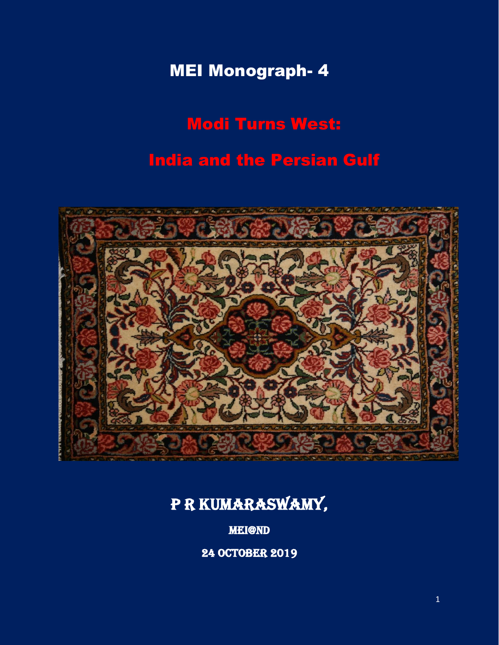MEI Monograph- 4

# Modi Turns West:

# India and the Persian Gulf



# p r Kumaraswamy,

mei@nd

24 OCTOBER 2019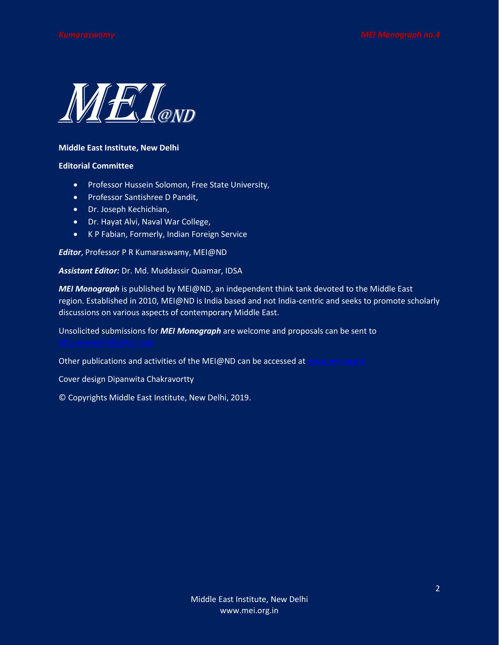

#### **Middle East Institute, New Delhi**

#### **Editorial Committee**

- Professor Hussein Solomon, Free State University,
- Professor Santishree D Pandit,
- Dr. Joseph Kechichian,
- Dr. Hayat Alvi, Naval War College,
- K P Fabian, Formerly, Indian Foreign Service

*Editor*, Professor P R Kumaraswamy, MEI@ND

*Assistant Editor:* Dr. Md. Muddassir Quamar, IDSA

*MEI Monograph* is published by MEI@ND, an independent think tank devoted to the Middle East region. Established in 2010, MEI@ND is India based and not India-centric and seeks to promote scholarly discussions on various aspects of contemporary Middle East.

Unsolicited submissions for *MEI Monograph* are welcome and proposals can be sent to

Other publications and activities of the MEI@ND can be accessed at [www.mei.org.in](http://www.mei.org.in/)

Cover design Dipanwita Chakravortty

© Copyrights Middle East Institute, New Delhi, 2019.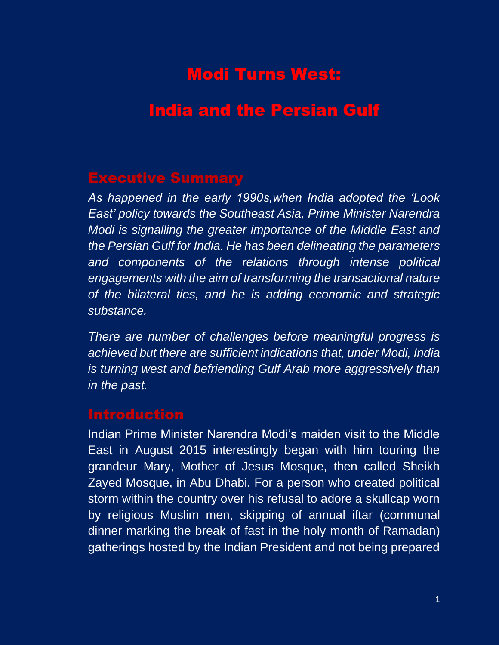# Modi Turns West:

# India and the Persian Gulf

## Executive Summary

*As happened in the early 1990s,when India adopted the 'Look East' policy towards the Southeast Asia, Prime Minister Narendra Modi is signalling the greater importance of the Middle East and the Persian Gulf for India. He has been delineating the parameters and components of the relations through intense political engagements with the aim of transforming the transactional nature of the bilateral ties, and he is adding economic and strategic substance.* 

*There are number of challenges before meaningful progress is achieved but there are sufficient indications that, under Modi, India is turning west and befriending Gulf Arab more aggressively than in the past.* 

### Introduction

Indian Prime Minister Narendra Modi's maiden visit to the Middle East in August 2015 interestingly began with him touring the grandeur Mary, Mother of Jesus Mosque, then called Sheikh Zayed Mosque, in Abu Dhabi. For a person who created political storm within the country over his refusal to adore a skullcap worn by religious Muslim men, skipping of annual iftar (communal dinner marking the break of fast in the holy month of Ramadan) gatherings hosted by the Indian President and not being prepared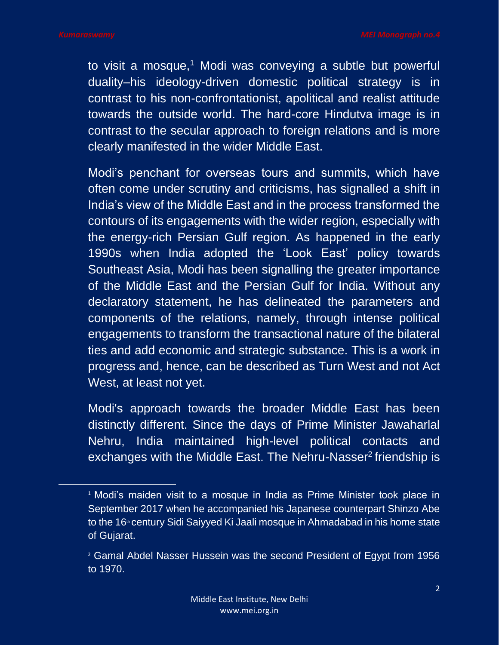to visit a mosque,<sup>1</sup> Modi was conveying a subtle but powerful duality–his ideology-driven domestic political strategy is in contrast to his non-confrontationist, apolitical and realist attitude towards the outside world. The hard-core Hindutva image is in contrast to the secular approach to foreign relations and is more clearly manifested in the wider Middle East.

Modi's penchant for overseas tours and summits, which have often come under scrutiny and criticisms, has signalled a shift in India's view of the Middle East and in the process transformed the contours of its engagements with the wider region, especially with the energy-rich Persian Gulf region. As happened in the early 1990s when India adopted the 'Look East' policy towards Southeast Asia, Modi has been signalling the greater importance of the Middle East and the Persian Gulf for India. Without any declaratory statement, he has delineated the parameters and components of the relations, namely, through intense political engagements to transform the transactional nature of the bilateral ties and add economic and strategic substance. This is a work in progress and, hence, can be described as Turn West and not Act West, at least not yet.

Modi's approach towards the broader Middle East has been distinctly different. Since the days of Prime Minister Jawaharlal Nehru, India maintained high-level political contacts and exchanges with the Middle East. The Nehru-Nasser<sup>2</sup> friendship is

<sup>&</sup>lt;sup>1</sup> Modi's maiden visit to a mosque in India as Prime Minister took place in September 2017 when he accompanied his Japanese counterpart Shinzo Abe to the 16<sup>th</sup> century Sidi Saiyyed Ki Jaali mosque in Ahmadabad in his home state of Gujarat.

<sup>2</sup> Gamal Abdel Nasser Hussein was the second President of Egypt from 1956 to 1970.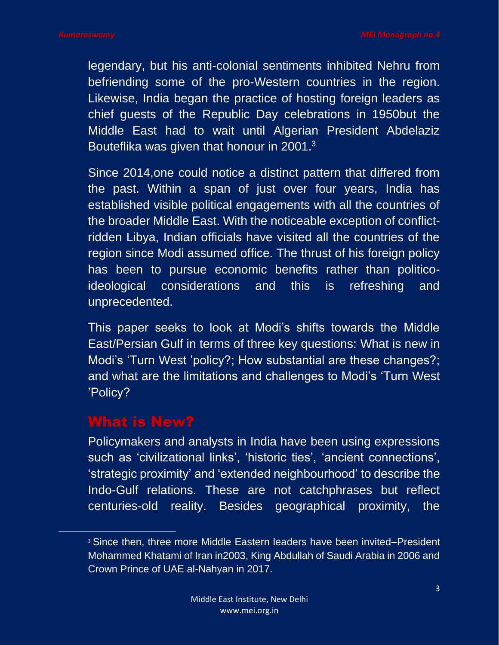legendary, but his anti-colonial sentiments inhibited Nehru from befriending some of the pro-Western countries in the region. Likewise, India began the practice of hosting foreign leaders as chief guests of the Republic Day celebrations in 1950but the Middle East had to wait until Algerian President Abdelaziz Bouteflika was given that honour in 2001.<sup>3</sup>

Since 2014,one could notice a distinct pattern that differed from the past. Within a span of just over four years, India has established visible political engagements with all the countries of the broader Middle East. With the noticeable exception of conflictridden Libya, Indian officials have visited all the countries of the region since Modi assumed office. The thrust of his foreign policy has been to pursue economic benefits rather than politicoideological considerations and this is refreshing and unprecedented.

This paper seeks to look at Modi's shifts towards the Middle East/Persian Gulf in terms of three key questions: What is new in Modi's 'Turn West 'policy?; How substantial are these changes?; and what are the limitations and challenges to Modi's 'Turn West 'Policy?

## What is New?

Policymakers and analysts in India have been using expressions such as 'civilizational links', 'historic ties', 'ancient connections', 'strategic proximity' and 'extended neighbourhood' to describe the Indo-Gulf relations. These are not catchphrases but reflect centuries-old reality. Besides geographical proximity, the

<sup>3</sup> Since then, three more Middle Eastern leaders have been invited–President Mohammed Khatami of Iran in2003, King Abdullah of Saudi Arabia in 2006 and Crown Prince of UAE al-Nahyan in 2017.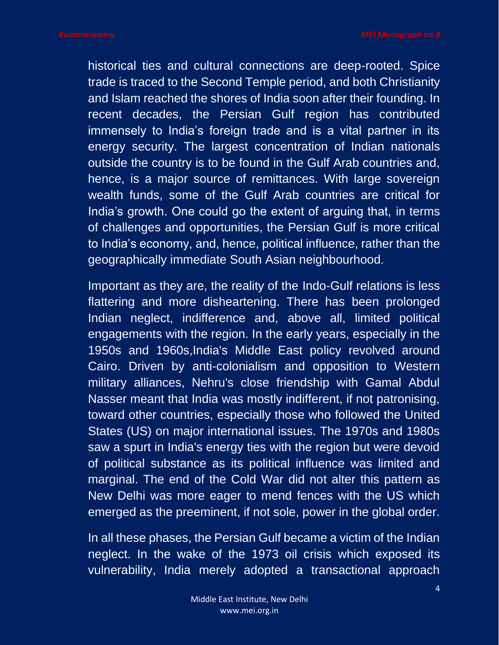historical ties and cultural connections are deep-rooted. Spice trade is traced to the Second Temple period, and both Christianity and Islam reached the shores of India soon after their founding. In recent decades, the Persian Gulf region has contributed immensely to India's foreign trade and is a vital partner in its energy security. The largest concentration of Indian nationals outside the country is to be found in the Gulf Arab countries and, hence, is a major source of remittances. With large sovereign wealth funds, some of the Gulf Arab countries are critical for India's growth. One could go the extent of arguing that, in terms of challenges and opportunities, the Persian Gulf is more critical to India's economy, and, hence, political influence, rather than the geographically immediate South Asian neighbourhood.

Important as they are, the reality of the Indo-Gulf relations is less flattering and more disheartening. There has been prolonged Indian neglect, indifference and, above all, limited political engagements with the region. In the early years, especially in the 1950s and 1960s,India's Middle East policy revolved around Cairo. Driven by anti-colonialism and opposition to Western military alliances, Nehru's close friendship with Gamal Abdul Nasser meant that India was mostly indifferent, if not patronising, toward other countries, especially those who followed the United States (US) on major international issues. The 1970s and 1980s saw a spurt in India's energy ties with the region but were devoid of political substance as its political influence was limited and marginal. The end of the Cold War did not alter this pattern as New Delhi was more eager to mend fences with the US which emerged as the preeminent, if not sole, power in the global order.

In all these phases, the Persian Gulf became a victim of the Indian neglect. In the wake of the 1973 oil crisis which exposed its vulnerability, India merely adopted a transactional approach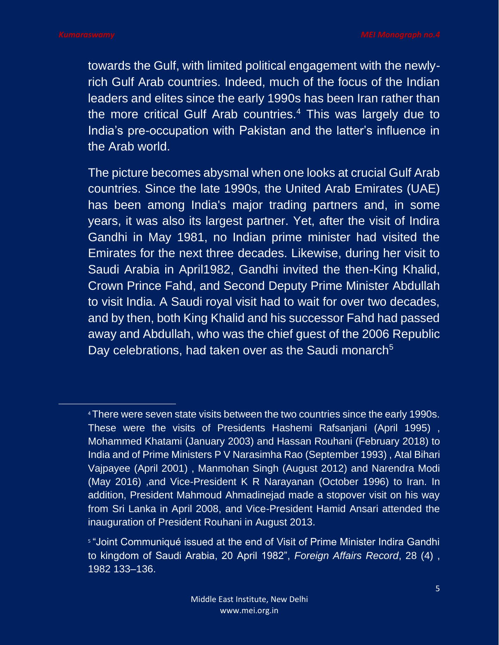towards the Gulf, with limited political engagement with the newlyrich Gulf Arab countries. Indeed, much of the focus of the Indian leaders and elites since the early 1990s has been Iran rather than the more critical Gulf Arab countries.<sup>4</sup> This was largely due to India's pre-occupation with Pakistan and the latter's influence in the Arab world.

The picture becomes abysmal when one looks at crucial Gulf Arab countries. Since the late 1990s, the United Arab Emirates (UAE) has been among India's major trading partners and, in some years, it was also its largest partner. Yet, after the visit of Indira Gandhi in May 1981, no Indian prime minister had visited the Emirates for the next three decades. Likewise, during her visit to Saudi Arabia in April1982, Gandhi invited the then-King Khalid, Crown Prince Fahd, and Second Deputy Prime Minister Abdullah to visit India. A Saudi royal visit had to wait for over two decades, and by then, both King Khalid and his successor Fahd had passed away and Abdullah, who was the chief guest of the 2006 Republic Day celebrations, had taken over as the Saudi monarch<sup>5</sup>

<sup>4</sup>There were seven state visits between the two countries since the early 1990s. These were the visits of Presidents Hashemi Rafsanjani (April 1995) , Mohammed Khatami (January 2003) and Hassan Rouhani (February 2018) to India and of Prime Ministers P V Narasimha Rao (September 1993) , Atal Bihari Vajpayee (April 2001) , Manmohan Singh (August 2012) and Narendra Modi (May 2016) ,and Vice-President K R Narayanan (October 1996) to Iran. In addition, President Mahmoud Ahmadinejad made a stopover visit on his way from Sri Lanka in April 2008, and Vice-President Hamid Ansari attended the inauguration of President Rouhani in August 2013.

<sup>&</sup>lt;sup>5</sup> "Joint Communiqué issued at the end of Visit of Prime Minister Indira Gandhi to kingdom of Saudi Arabia, 20 April 1982", *Foreign Affairs Record*, 28 (4) , 1982 133–136.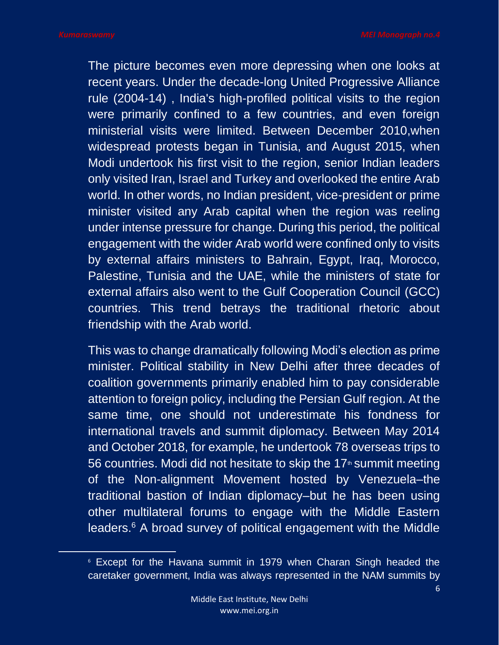The picture becomes even more depressing when one looks at recent years. Under the decade-long United Progressive Alliance rule (2004-14) , India's high-profiled political visits to the region were primarily confined to a few countries, and even foreign ministerial visits were limited. Between December 2010,when widespread protests began in Tunisia, and August 2015, when Modi undertook his first visit to the region, senior Indian leaders only visited Iran, Israel and Turkey and overlooked the entire Arab world. In other words, no Indian president, vice-president or prime minister visited any Arab capital when the region was reeling under intense pressure for change. During this period, the political engagement with the wider Arab world were confined only to visits by external affairs ministers to Bahrain, Egypt, Iraq, Morocco, Palestine, Tunisia and the UAE, while the ministers of state for external affairs also went to the Gulf Cooperation Council (GCC) countries. This trend betrays the traditional rhetoric about friendship with the Arab world.

This was to change dramatically following Modi's election as prime minister. Political stability in New Delhi after three decades of coalition governments primarily enabled him to pay considerable attention to foreign policy, including the Persian Gulf region. At the same time, one should not underestimate his fondness for international travels and summit diplomacy. Between May 2014 and October 2018, for example, he undertook 78 overseas trips to 56 countries. Modi did not hesitate to skip the  $17<sup>th</sup>$  summit meeting of the Non-alignment Movement hosted by Venezuela–the traditional bastion of Indian diplomacy–but he has been using other multilateral forums to engage with the Middle Eastern leaders.<sup>6</sup> A broad survey of political engagement with the Middle

<sup>6</sup> Except for the Havana summit in 1979 when Charan Singh headed the caretaker government, India was always represented in the NAM summits by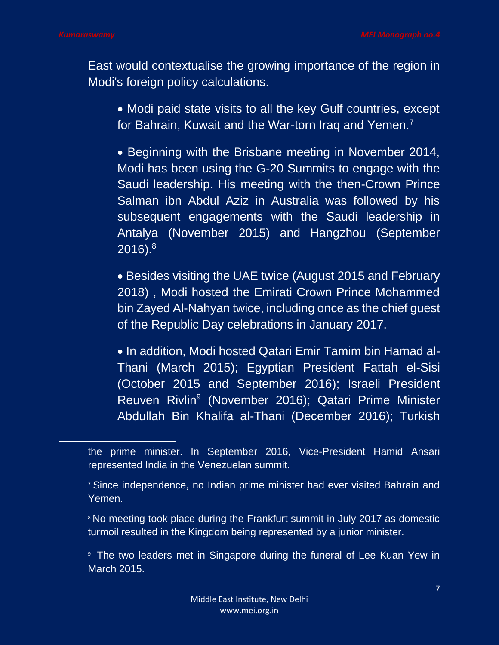East would contextualise the growing importance of the region in Modi's foreign policy calculations.

- Modi paid state visits to all the key Gulf countries, except for Bahrain, Kuwait and the War-torn Iraq and Yemen.<sup>7</sup>
- Beginning with the Brisbane meeting in November 2014, Modi has been using the G-20 Summits to engage with the Saudi leadership. His meeting with the then-Crown Prince Salman ibn Abdul Aziz in Australia was followed by his subsequent engagements with the Saudi leadership in Antalya (November 2015) and Hangzhou (September  $2016$ ). $^8$

• Besides visiting the UAE twice (August 2015 and February 2018) , Modi hosted the Emirati Crown Prince Mohammed bin Zayed Al-Nahyan twice, including once as the chief guest of the Republic Day celebrations in January 2017.

• In addition, Modi hosted Qatari Emir Tamim bin Hamad al-Thani (March 2015); Egyptian President Fattah el-Sisi (October 2015 and September 2016); Israeli President Reuven Rivlin<sup>9</sup> (November 2016); Qatari Prime Minister Abdullah Bin Khalifa al-Thani (December 2016); Turkish

<sup>8</sup> No meeting took place during the Frankfurt summit in July 2017 as domestic turmoil resulted in the Kingdom being represented by a junior minister.

<sup>9</sup> The two leaders met in Singapore during the funeral of Lee Kuan Yew in March 2015.

the prime minister. In September 2016, Vice-President Hamid Ansari represented India in the Venezuelan summit.

<sup>7</sup> Since independence, no Indian prime minister had ever visited Bahrain and Yemen.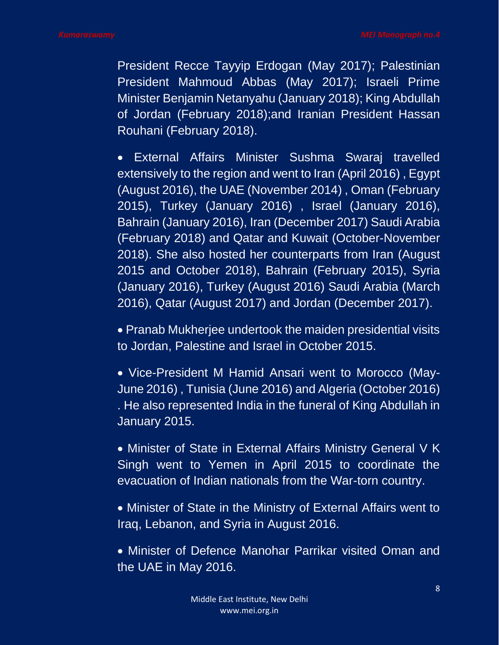President Recce Tayyip Erdogan (May 2017); Palestinian President Mahmoud Abbas (May 2017); Israeli Prime Minister Benjamin Netanyahu (January 2018); King Abdullah of Jordan (February 2018);and Iranian President Hassan Rouhani (February 2018).

• External Affairs Minister Sushma Swaraj travelled extensively to the region and went to Iran (April 2016) , Egypt (August 2016), the UAE (November 2014) , Oman (February 2015), Turkey (January 2016) , Israel (January 2016), Bahrain (January 2016), Iran (December 2017) Saudi Arabia (February 2018) and Qatar and Kuwait (October-November 2018). She also hosted her counterparts from Iran (August 2015 and October 2018), Bahrain (February 2015), Syria (January 2016), Turkey (August 2016) Saudi Arabia (March 2016), Qatar (August 2017) and Jordan (December 2017).

• Pranab Mukherjee undertook the maiden presidential visits to Jordan, Palestine and Israel in October 2015.

• Vice-President M Hamid Ansari went to Morocco (May-June 2016) , Tunisia (June 2016) and Algeria (October 2016) . He also represented India in the funeral of King Abdullah in January 2015.

• Minister of State in External Affairs Ministry General V K Singh went to Yemen in April 2015 to coordinate the evacuation of Indian nationals from the War-torn country.

• Minister of State in the Ministry of External Affairs went to Iraq, Lebanon, and Syria in August 2016.

• Minister of Defence Manohar Parrikar visited Oman and the UAE in May 2016.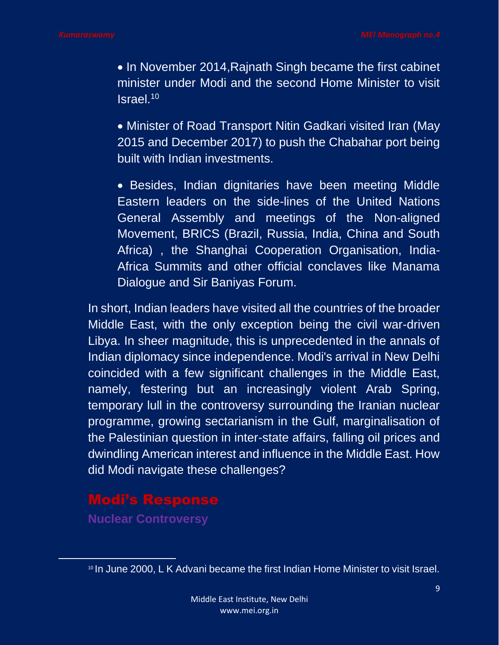• In November 2014,Rajnath Singh became the first cabinet minister under Modi and the second Home Minister to visit Israel.<sup>10</sup>

• Minister of Road Transport Nitin Gadkari visited Iran (May 2015 and December 2017) to push the Chabahar port being built with Indian investments.

• Besides, Indian dignitaries have been meeting Middle Eastern leaders on the side-lines of the United Nations General Assembly and meetings of the Non-aligned Movement, BRICS (Brazil, Russia, India, China and South Africa) , the Shanghai Cooperation Organisation, India-Africa Summits and other official conclaves like Manama Dialogue and Sir Baniyas Forum.

In short, Indian leaders have visited all the countries of the broader Middle East, with the only exception being the civil war-driven Libya. In sheer magnitude, this is unprecedented in the annals of Indian diplomacy since independence. Modi's arrival in New Delhi coincided with a few significant challenges in the Middle East, namely, festering but an increasingly violent Arab Spring, temporary lull in the controversy surrounding the Iranian nuclear programme, growing sectarianism in the Gulf, marginalisation of the Palestinian question in inter-state affairs, falling oil prices and dwindling American interest and influence in the Middle East. How did Modi navigate these challenges?

## Modi's Response

**Nuclear Controversy**

<sup>10</sup> In June 2000, L K Advani became the first Indian Home Minister to visit Israel.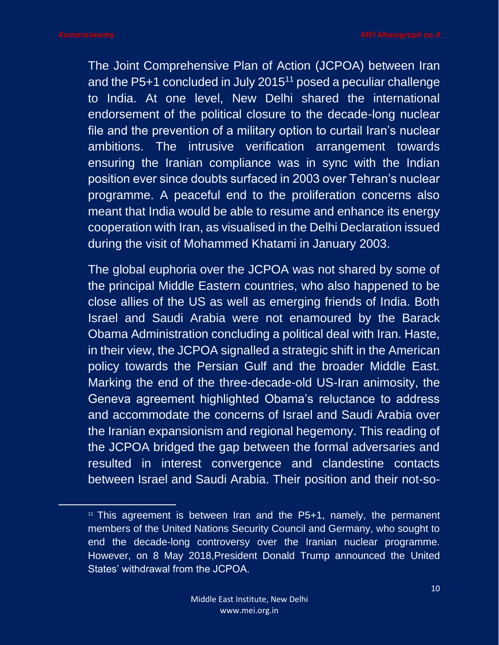The Joint Comprehensive Plan of Action (JCPOA) between Iran and the P5+1 concluded in July 2015 $11$  posed a peculiar challenge to India. At one level, New Delhi shared the international endorsement of the political closure to the decade-long nuclear file and the prevention of a military option to curtail Iran's nuclear ambitions. The intrusive verification arrangement towards ensuring the Iranian compliance was in sync with the Indian position ever since doubts surfaced in 2003 over Tehran's nuclear programme. A peaceful end to the proliferation concerns also meant that India would be able to resume and enhance its energy cooperation with Iran, as visualised in the Delhi Declaration issued during the visit of Mohammed Khatami in January 2003.

The global euphoria over the JCPOA was not shared by some of the principal Middle Eastern countries, who also happened to be close allies of the US as well as emerging friends of India. Both Israel and Saudi Arabia were not enamoured by the Barack Obama Administration concluding a political deal with Iran. Haste, in their view, the JCPOA signalled a strategic shift in the American policy towards the Persian Gulf and the broader Middle East. Marking the end of the three-decade-old US-Iran animosity, the Geneva agreement highlighted Obama's reluctance to address and accommodate the concerns of Israel and Saudi Arabia over the Iranian expansionism and regional hegemony. This reading of the JCPOA bridged the gap between the formal adversaries and resulted in interest convergence and clandestine contacts between Israel and Saudi Arabia. Their position and their not-so-

 $11$  This agreement is between Iran and the P5+1, namely, the permanent members of the United Nations Security Council and Germany, who sought to end the decade-long controversy over the Iranian nuclear programme. However, on 8 May 2018,President Donald Trump announced the United States' withdrawal from the JCPOA.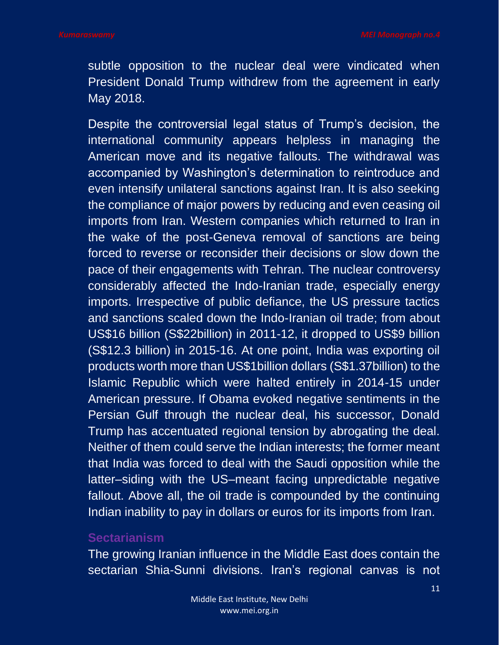subtle opposition to the nuclear deal were vindicated when President Donald Trump withdrew from the agreement in early May 2018.

Despite the controversial legal status of Trump's decision, the international community appears helpless in managing the American move and its negative fallouts. The withdrawal was accompanied by Washington's determination to reintroduce and even intensify unilateral sanctions against Iran. It is also seeking the compliance of major powers by reducing and even ceasing oil imports from Iran. Western companies which returned to Iran in the wake of the post-Geneva removal of sanctions are being forced to reverse or reconsider their decisions or slow down the pace of their engagements with Tehran. The nuclear controversy considerably affected the Indo-Iranian trade, especially energy imports. Irrespective of public defiance, the US pressure tactics and sanctions scaled down the Indo-Iranian oil trade; from about US\$16 billion (S\$22billion) in 2011-12, it dropped to US\$9 billion (S\$12.3 billion) in 2015-16. At one point, India was exporting oil products worth more than US\$1billion dollars (S\$1.37billion) to the Islamic Republic which were halted entirely in 2014-15 under American pressure. If Obama evoked negative sentiments in the Persian Gulf through the nuclear deal, his successor, Donald Trump has accentuated regional tension by abrogating the deal. Neither of them could serve the Indian interests; the former meant that India was forced to deal with the Saudi opposition while the latter–siding with the US–meant facing unpredictable negative fallout. Above all, the oil trade is compounded by the continuing Indian inability to pay in dollars or euros for its imports from Iran.

#### **Sectarianism**

The growing Iranian influence in the Middle East does contain the sectarian Shia-Sunni divisions. Iran's regional canvas is not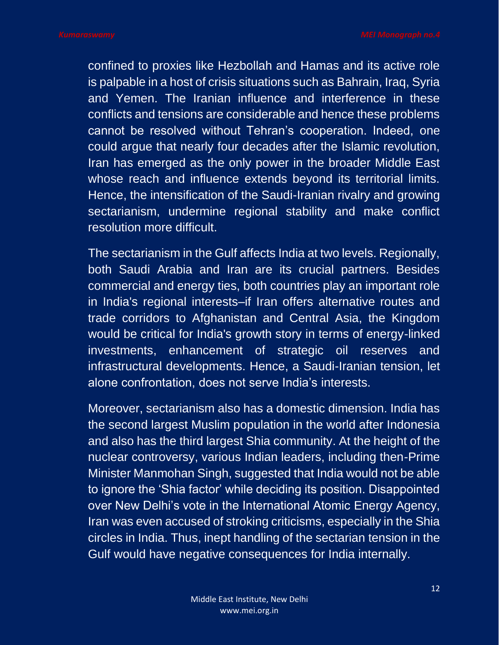confined to proxies like Hezbollah and Hamas and its active role is palpable in a host of crisis situations such as Bahrain, Iraq, Syria and Yemen. The Iranian influence and interference in these conflicts and tensions are considerable and hence these problems cannot be resolved without Tehran's cooperation. Indeed, one could argue that nearly four decades after the Islamic revolution, Iran has emerged as the only power in the broader Middle East whose reach and influence extends beyond its territorial limits. Hence, the intensification of the Saudi-Iranian rivalry and growing sectarianism, undermine regional stability and make conflict resolution more difficult.

The sectarianism in the Gulf affects India at two levels. Regionally, both Saudi Arabia and Iran are its crucial partners. Besides commercial and energy ties, both countries play an important role in India's regional interests–if Iran offers alternative routes and trade corridors to Afghanistan and Central Asia, the Kingdom would be critical for India's growth story in terms of energy-linked investments, enhancement of strategic oil reserves and infrastructural developments. Hence, a Saudi-Iranian tension, let alone confrontation, does not serve India's interests.

Moreover, sectarianism also has a domestic dimension. India has the second largest Muslim population in the world after Indonesia and also has the third largest Shia community. At the height of the nuclear controversy, various Indian leaders, including then-Prime Minister Manmohan Singh, suggested that India would not be able to ignore the 'Shia factor' while deciding its position. Disappointed over New Delhi's vote in the International Atomic Energy Agency, Iran was even accused of stroking criticisms, especially in the Shia circles in India. Thus, inept handling of the sectarian tension in the Gulf would have negative consequences for India internally.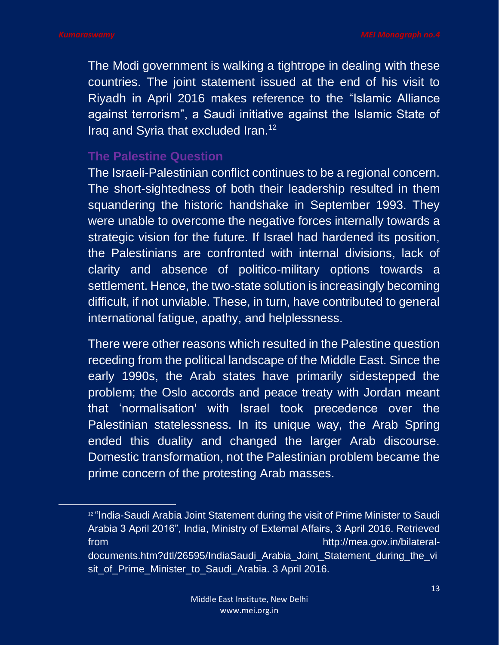The Modi government is walking a tightrope in dealing with these countries. The joint statement issued at the end of his visit to Riyadh in April 2016 makes reference to the "Islamic Alliance against terrorism", a Saudi initiative against the Islamic State of Iraq and Syria that excluded Iran.<sup>12</sup>

#### **The Palestine Question**

The Israeli-Palestinian conflict continues to be a regional concern. The short-sightedness of both their leadership resulted in them squandering the historic handshake in September 1993. They were unable to overcome the negative forces internally towards a strategic vision for the future. If Israel had hardened its position, the Palestinians are confronted with internal divisions, lack of clarity and absence of politico-military options towards a settlement. Hence, the two-state solution is increasingly becoming difficult, if not unviable. These, in turn, have contributed to general international fatigue, apathy, and helplessness.

There were other reasons which resulted in the Palestine question receding from the political landscape of the Middle East. Since the early 1990s, the Arab states have primarily sidestepped the problem; the Oslo accords and peace treaty with Jordan meant that 'normalisation' with Israel took precedence over the Palestinian statelessness. In its unique way, the Arab Spring ended this duality and changed the larger Arab discourse. Domestic transformation, not the Palestinian problem became the prime concern of the protesting Arab masses.

<sup>&</sup>lt;sup>12</sup> "India-Saudi Arabia Joint Statement during the visit of Prime Minister to Saudi Arabia 3 April 2016", India, Ministry of External Affairs, 3 April 2016. Retrieved from http://mea.gov.in/bilateraldocuments.htm?dtl/26595/IndiaSaudi\_Arabia\_Joint\_Statement\_during\_the\_vi

sit of Prime Minister to Saudi Arabia. 3 April 2016.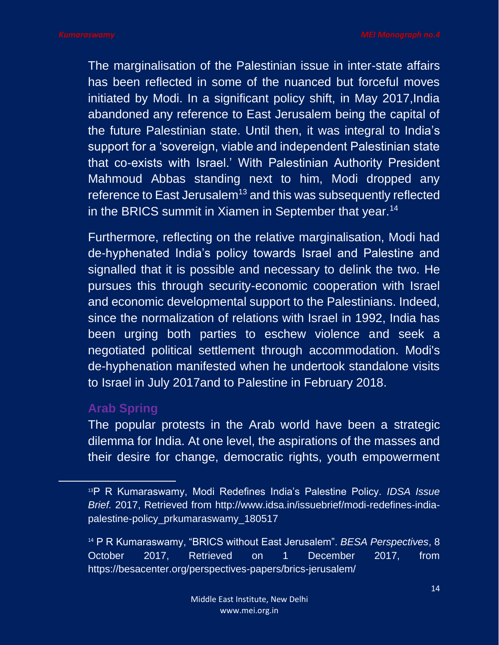The marginalisation of the Palestinian issue in inter-state affairs has been reflected in some of the nuanced but forceful moves initiated by Modi. In a significant policy shift, in May 2017,India abandoned any reference to East Jerusalem being the capital of the future Palestinian state. Until then, it was integral to India's support for a 'sovereign, viable and independent Palestinian state that co-exists with Israel.' With Palestinian Authority President Mahmoud Abbas standing next to him, Modi dropped any reference to East Jerusalem<sup>13</sup> and this was subsequently reflected in the BRICS summit in Xiamen in September that year.<sup>14</sup>

Furthermore, reflecting on the relative marginalisation, Modi had de-hyphenated India's policy towards Israel and Palestine and signalled that it is possible and necessary to delink the two. He pursues this through security-economic cooperation with Israel and economic developmental support to the Palestinians. Indeed, since the normalization of relations with Israel in 1992, India has been urging both parties to eschew violence and seek a negotiated political settlement through accommodation. Modi's de-hyphenation manifested when he undertook standalone visits to Israel in July 2017and to Palestine in February 2018.

#### **Arab Spring**

The popular protests in the Arab world have been a strategic dilemma for India. At one level, the aspirations of the masses and their desire for change, democratic rights, youth empowerment

<sup>13</sup>P R Kumaraswamy, Modi Redefines India's Palestine Policy. *IDSA Issue Brief.* 2017, Retrieved from http://www.idsa.in/issuebrief/modi-redefines-indiapalestine-policy\_prkumaraswamy\_180517

<sup>14</sup> P R Kumaraswamy, "BRICS without East Jerusalem". *BESA Perspectives*, 8 October 2017, Retrieved on 1 December 2017, from https://besacenter.org/perspectives-papers/brics-jerusalem/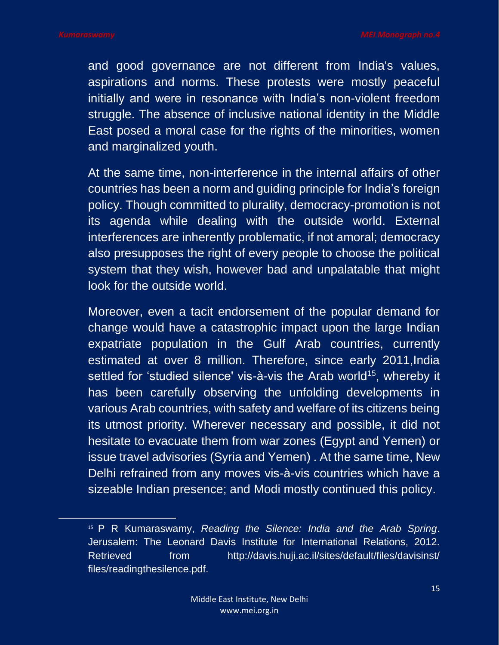and good governance are not different from India's values, aspirations and norms. These protests were mostly peaceful initially and were in resonance with India's non-violent freedom struggle. The absence of inclusive national identity in the Middle East posed a moral case for the rights of the minorities, women and marginalized youth.

At the same time, non-interference in the internal affairs of other countries has been a norm and guiding principle for India's foreign policy. Though committed to plurality, democracy-promotion is not its agenda while dealing with the outside world. External interferences are inherently problematic, if not amoral; democracy also presupposes the right of every people to choose the political system that they wish, however bad and unpalatable that might look for the outside world.

Moreover, even a tacit endorsement of the popular demand for change would have a catastrophic impact upon the large Indian expatriate population in the Gulf Arab countries, currently estimated at over 8 million. Therefore, since early 2011, India settled for 'studied silence' vis-à-vis the Arab world<sup>15</sup>, whereby it has been carefully observing the unfolding developments in various Arab countries, with safety and welfare of its citizens being its utmost priority. Wherever necessary and possible, it did not hesitate to evacuate them from war zones (Egypt and Yemen) or issue travel advisories (Syria and Yemen) . At the same time, New Delhi refrained from any moves vis-à-vis countries which have a sizeable Indian presence; and Modi mostly continued this policy.

<sup>15</sup> P R Kumaraswamy, *Reading the Silence: India and the Arab Spring*. Jerusalem: The Leonard Davis Institute for International Relations, 2012. Retrieved from http://davis.huji.ac.il/sites/default/files/davisinst/ files/readingthesilence.pdf.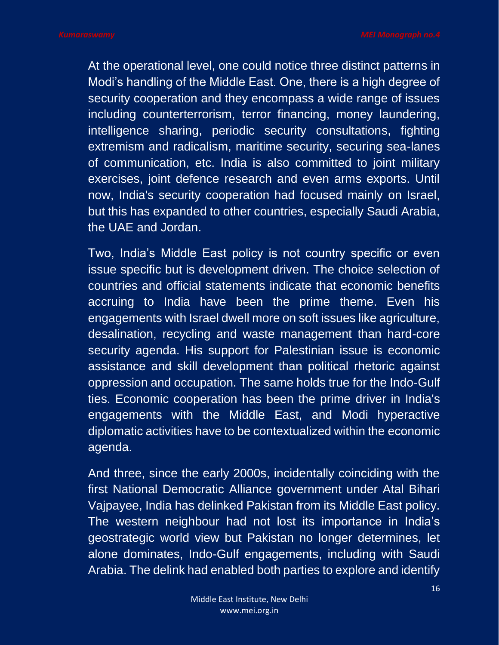At the operational level, one could notice three distinct patterns in Modi's handling of the Middle East. One, there is a high degree of security cooperation and they encompass a wide range of issues including counterterrorism, terror financing, money laundering, intelligence sharing, periodic security consultations, fighting extremism and radicalism, maritime security, securing sea-lanes of communication, etc. India is also committed to joint military exercises, joint defence research and even arms exports. Until now, India's security cooperation had focused mainly on Israel, but this has expanded to other countries, especially Saudi Arabia, the UAE and Jordan.

Two, India's Middle East policy is not country specific or even issue specific but is development driven. The choice selection of countries and official statements indicate that economic benefits accruing to India have been the prime theme. Even his engagements with Israel dwell more on soft issues like agriculture, desalination, recycling and waste management than hard-core security agenda. His support for Palestinian issue is economic assistance and skill development than political rhetoric against oppression and occupation. The same holds true for the Indo-Gulf ties. Economic cooperation has been the prime driver in India's engagements with the Middle East, and Modi hyperactive diplomatic activities have to be contextualized within the economic agenda.

And three, since the early 2000s, incidentally coinciding with the first National Democratic Alliance government under Atal Bihari Vajpayee, India has delinked Pakistan from its Middle East policy. The western neighbour had not lost its importance in India's geostrategic world view but Pakistan no longer determines, let alone dominates, Indo-Gulf engagements, including with Saudi Arabia. The delink had enabled both parties to explore and identify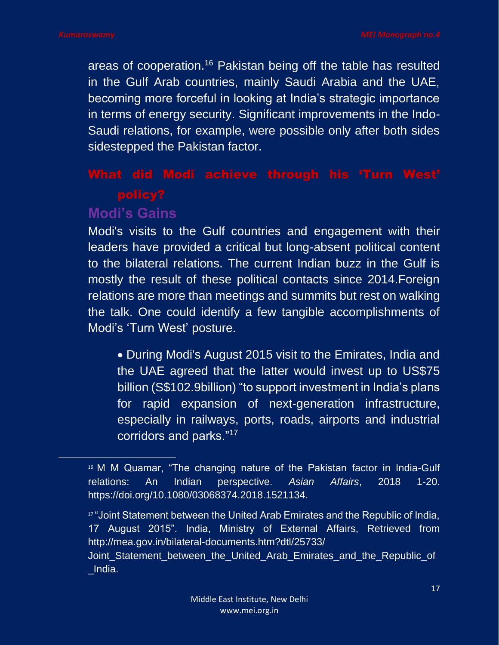areas of cooperation.<sup>16</sup> Pakistan being off the table has resulted in the Gulf Arab countries, mainly Saudi Arabia and the UAE, becoming more forceful in looking at India's strategic importance in terms of energy security. Significant improvements in the Indo-Saudi relations, for example, were possible only after both sides sidestepped the Pakistan factor.

## **Modi's Gains**

Modi's visits to the Gulf countries and engagement with their leaders have provided a critical but long-absent political content to the bilateral relations. The current Indian buzz in the Gulf is mostly the result of these political contacts since 2014.Foreign relations are more than meetings and summits but rest on walking the talk. One could identify a few tangible accomplishments of Modi's 'Turn West' posture.

• During Modi's August 2015 visit to the Emirates, India and the UAE agreed that the latter would invest up to US\$75 billion (S\$102.9billion) "to support investment in India's plans for rapid expansion of next-generation infrastructure, especially in railways, ports, roads, airports and industrial corridors and parks."<sup>17</sup>

<sup>16</sup> M M Quamar, "The changing nature of the Pakistan factor in India-Gulf relations: An Indian perspective. *Asian Affairs*, 2018 1-20. https://doi.org/10.1080/03068374.2018.1521134.

<sup>&</sup>lt;sup>17</sup> "Joint Statement between the United Arab Emirates and the Republic of India, 17 August 2015". India, Ministry of External Affairs, Retrieved from http://mea.gov.in/bilateral-documents.htm?dtl/25733/

Joint Statement between the United Arab Emirates and the Republic of \_India.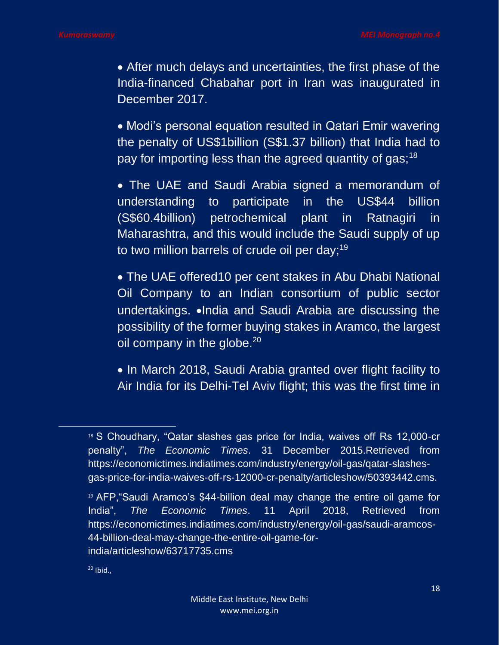• After much delays and uncertainties, the first phase of the India-financed Chabahar port in Iran was inaugurated in December 2017.

• Modi's personal equation resulted in Qatari Emir wavering the penalty of US\$1billion (S\$1.37 billion) that India had to pay for importing less than the agreed quantity of gas;  $18$ 

• The UAE and Saudi Arabia signed a memorandum of understanding to participate in the US\$44 billion (S\$60.4billion) petrochemical plant in Ratnagiri in Maharashtra, and this would include the Saudi supply of up to two million barrels of crude oil per day; $19$ 

• The UAE offered10 per cent stakes in Abu Dhabi National Oil Company to an Indian consortium of public sector undertakings. •India and Saudi Arabia are discussing the possibility of the former buying stakes in Aramco, the largest oil company in the globe. $20$ 

• In March 2018, Saudi Arabia granted over flight facility to Air India for its Delhi-Tel Aviv flight; this was the first time in

 $20$  Ibid.,

<sup>&</sup>lt;sup>18</sup> S Choudhary, "Qatar slashes gas price for India, waives off Rs 12,000-cr penalty", *The Economic Times*. 31 December 2015.Retrieved from https://economictimes.indiatimes.com/industry/energy/oil-gas/qatar-slashesgas-price-for-india-waives-off-rs-12000-cr-penalty/articleshow/50393442.cms.

<sup>19</sup> AFP,"Saudi Aramco's \$44-billion deal may change the entire oil game for India", *The Economic Times*. 11 April 2018, Retrieved from https://economictimes.indiatimes.com/industry/energy/oil-gas/saudi-aramcos-44-billion-deal-may-change-the-entire-oil-game-forindia/articleshow/63717735.cms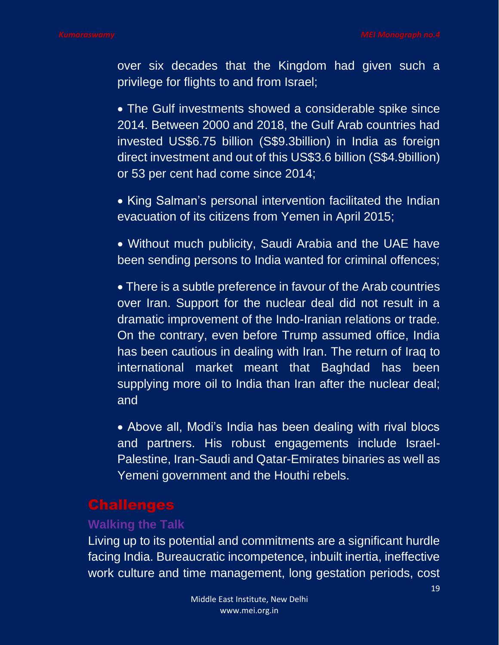over six decades that the Kingdom had given such a privilege for flights to and from Israel;

• The Gulf investments showed a considerable spike since 2014. Between 2000 and 2018, the Gulf Arab countries had invested US\$6.75 billion (S\$9.3billion) in India as foreign direct investment and out of this US\$3.6 billion (S\$4.9billion) or 53 per cent had come since 2014;

• King Salman's personal intervention facilitated the Indian evacuation of its citizens from Yemen in April 2015;

• Without much publicity, Saudi Arabia and the UAE have been sending persons to India wanted for criminal offences;

• There is a subtle preference in favour of the Arab countries over Iran. Support for the nuclear deal did not result in a dramatic improvement of the Indo-Iranian relations or trade. On the contrary, even before Trump assumed office, India has been cautious in dealing with Iran. The return of Iraq to international market meant that Baghdad has been supplying more oil to India than Iran after the nuclear deal; and

• Above all, Modi's India has been dealing with rival blocs and partners. His robust engagements include Israel-Palestine, Iran-Saudi and Qatar-Emirates binaries as well as Yemeni government and the Houthi rebels.

## **Challenges**

#### **Walking the Talk**

Living up to its potential and commitments are a significant hurdle facing India. Bureaucratic incompetence, inbuilt inertia, ineffective work culture and time management, long gestation periods, cost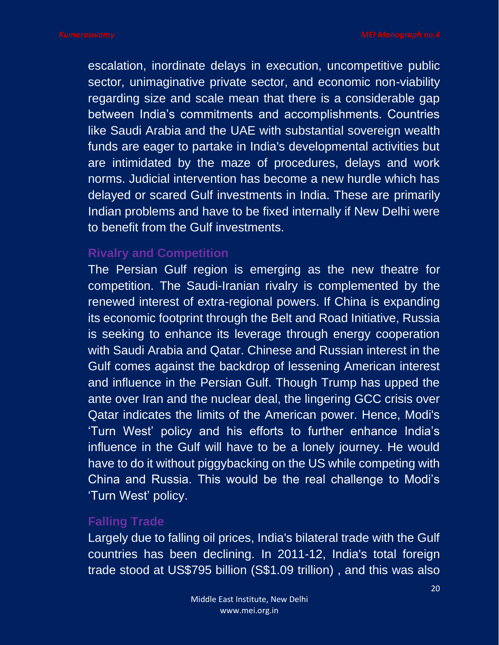escalation, inordinate delays in execution, uncompetitive public sector, unimaginative private sector, and economic non-viability regarding size and scale mean that there is a considerable gap between India's commitments and accomplishments. Countries like Saudi Arabia and the UAE with substantial sovereign wealth funds are eager to partake in India's developmental activities but are intimidated by the maze of procedures, delays and work norms. Judicial intervention has become a new hurdle which has delayed or scared Gulf investments in India. These are primarily Indian problems and have to be fixed internally if New Delhi were to benefit from the Gulf investments.

#### **Rivalry and Competition**

The Persian Gulf region is emerging as the new theatre for competition. The Saudi-Iranian rivalry is complemented by the renewed interest of extra-regional powers. If China is expanding its economic footprint through the Belt and Road Initiative, Russia is seeking to enhance its leverage through energy cooperation with Saudi Arabia and Qatar. Chinese and Russian interest in the Gulf comes against the backdrop of lessening American interest and influence in the Persian Gulf. Though Trump has upped the ante over Iran and the nuclear deal, the lingering GCC crisis over Qatar indicates the limits of the American power. Hence, Modi's 'Turn West' policy and his efforts to further enhance India's influence in the Gulf will have to be a lonely journey. He would have to do it without piggybacking on the US while competing with China and Russia. This would be the real challenge to Modi's 'Turn West' policy.

### **Falling Trade**

Largely due to falling oil prices, India's bilateral trade with the Gulf countries has been declining. In 2011-12, India's total foreign trade stood at US\$795 billion (S\$1.09 trillion) , and this was also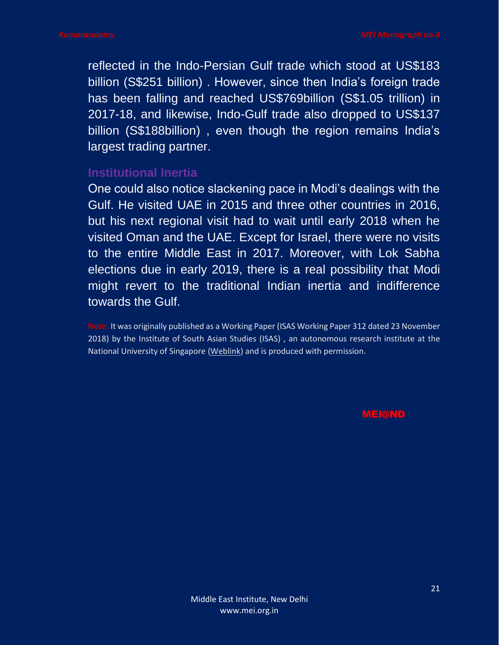reflected in the Indo-Persian Gulf trade which stood at US\$183 billion (S\$251 billion) . However, since then India's foreign trade has been falling and reached US\$769billion (S\$1.05 trillion) in 2017-18, and likewise, Indo-Gulf trade also dropped to US\$137 billion (S\$188billion) , even though the region remains India's largest trading partner.

#### **Institutional Inertia**

One could also notice slackening pace in Modi's dealings with the Gulf. He visited UAE in 2015 and three other countries in 2016, but his next regional visit had to wait until early 2018 when he visited Oman and the UAE. Except for Israel, there were no visits to the entire Middle East in 2017. Moreover, with Lok Sabha elections due in early 2019, there is a real possibility that Modi might revert to the traditional Indian inertia and indifference towards the Gulf.

**Note:** It was originally published as a Working Paper (ISAS Working Paper 312 dated 23 November 2018) by the Institute of South Asian Studies (ISAS) , an autonomous research institute at the National University of Singapore [\(Weblink\)](https://www.isas.nus.edu.sg/wp-content/uploads/2018/11/ISAS-Working-Paper-312-.pdf) and is produced with permission.

**reflect the views/positions of the MEI@ND.** Editor, MEI@ND: P R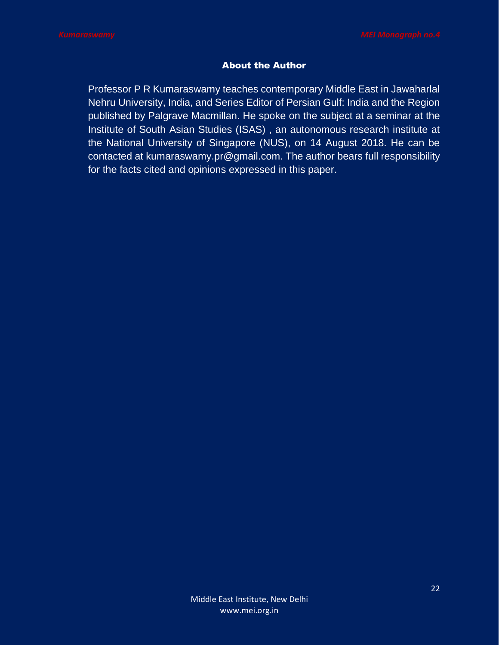#### About the Author

Professor P R Kumaraswamy teaches contemporary Middle East in Jawaharlal Nehru University, India, and Series Editor of Persian Gulf: India and the Region published by Palgrave Macmillan. He spoke on the subject at a seminar at the Institute of South Asian Studies (ISAS) , an autonomous research institute at the National University of Singapore (NUS), on 14 August 2018. He can be contacted at kumaraswamy.pr@gmail.com. The author bears full responsibility for the facts cited and opinions expressed in this paper.